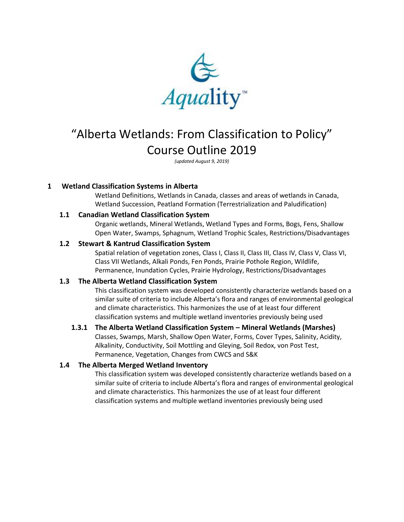

# "Alberta Wetlands: From Classification to Policy" Course Outline 2019

*(updated August 9, 2019)*

# **1 Wetland Classification Systems in Alberta**

Wetland Definitions, Wetlands in Canada, classes and areas of wetlands in Canada, Wetland Succession, Peatland Formation (Terrestrialization and Paludification)

## **1.1 Canadian Wetland Classification System**

Organic wetlands, Mineral Wetlands, Wetland Types and Forms, Bogs, Fens, Shallow Open Water, Swamps, Sphagnum, Wetland Trophic Scales, Restrictions/Disadvantages

#### **1.2 Stewart & Kantrud Classification System**

Spatial relation of vegetation zones, Class I, Class II, Class III, Class IV, Class V, Class VI, Class VII Wetlands, Alkali Ponds, Fen Ponds, Prairie Pothole Region, Wildlife, Permanence, Inundation Cycles, Prairie Hydrology, Restrictions/Disadvantages

## **1.3 The Alberta Wetland Classification System**

This classification system was developed consistently characterize wetlands based on a similar suite of criteria to include Alberta's flora and ranges of environmental geological and climate characteristics. This harmonizes the use of at least four different classification systems and multiple wetland inventories previously being used

## **1.3.1 The Alberta Wetland Classification System – Mineral Wetlands (Marshes)**

Classes, Swamps, Marsh, Shallow Open Water, Forms, Cover Types, Salinity, Acidity, Alkalinity, Conductivity, Soil Mottling and Gleying, Soil Redox, von Post Test, Permanence, Vegetation, Changes from CWCS and S&K

## **1.4 The Alberta Merged Wetland Inventory**

This classification system was developed consistently characterize wetlands based on a similar suite of criteria to include Alberta's flora and ranges of environmental geological and climate characteristics. This harmonizes the use of at least four different classification systems and multiple wetland inventories previously being used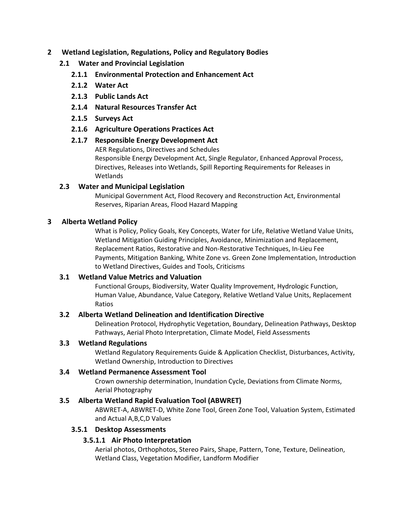## **2 Wetland Legislation, Regulations, Policy and Regulatory Bodies**

# **2.1 Water and Provincial Legislation**

- **2.1.1 Environmental Protection and Enhancement Act**
- **2.1.2 Water Act**
- **2.1.3 Public Lands Act**
- **2.1.4 Natural Resources Transfer Act**
- **2.1.5 Surveys Act**
- **2.1.6 Agriculture Operations Practices Act**

# **2.1.7 Responsible Energy Development Act**

AER Regulations, Directives and Schedules

Responsible Energy Development Act, Single Regulator, Enhanced Approval Process, Directives, Releases into Wetlands, Spill Reporting Requirements for Releases in Wetlands

# **2.3 Water and Municipal Legislation**

Municipal Government Act, Flood Recovery and Reconstruction Act, Environmental Reserves, Riparian Areas, Flood Hazard Mapping

## **3 Alberta Wetland Policy**

What is Policy, Policy Goals, Key Concepts, Water for Life, Relative Wetland Value Units, Wetland Mitigation Guiding Principles, Avoidance, Minimization and Replacement, Replacement Ratios, Restorative and Non-Restorative Techniques, In-Lieu Fee Payments, Mitigation Banking, White Zone vs. Green Zone Implementation, Introduction to Wetland Directives, Guides and Tools, Criticisms

## **3.1 Wetland Value Metrics and Valuation**

Functional Groups, Biodiversity, Water Quality Improvement, Hydrologic Function, Human Value, Abundance, Value Category, Relative Wetland Value Units, Replacement Ratios

## **3.2 Alberta Wetland Delineation and Identification Directive**

Delineation Protocol, Hydrophytic Vegetation, Boundary, Delineation Pathways, Desktop Pathways, Aerial Photo Interpretation, Climate Model, Field Assessments

## **3.3 Wetland Regulations**

Wetland Regulatory Requirements Guide & Application Checklist, Disturbances, Activity, Wetland Ownership, Introduction to Directives

## **3.4 Wetland Permanence Assessment Tool**

Crown ownership determination, Inundation Cycle, Deviations from Climate Norms, Aerial Photography

## **3.5 Alberta Wetland Rapid Evaluation Tool (ABWRET)**

ABWRET-A, ABWRET-D, White Zone Tool, Green Zone Tool, Valuation System, Estimated and Actual A,B,C,D Values

## **3.5.1 Desktop Assessments**

## **3.5.1.1 Air Photo Interpretation**

Aerial photos, Orthophotos, Stereo Pairs, Shape, Pattern, Tone, Texture, Delineation, Wetland Class, Vegetation Modifier, Landform Modifier